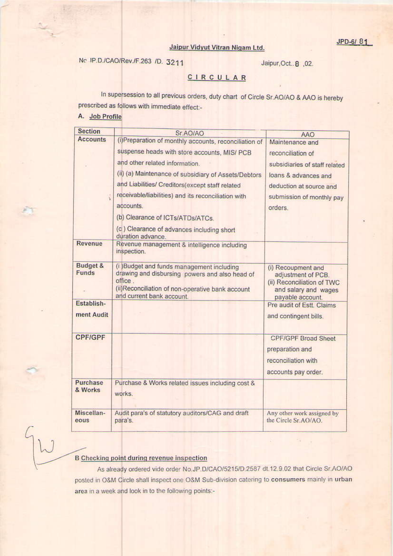## Jaipur Vidyut Vitran Nigam Ltd.

No. IP.D./CAO/Rev./F.263 /D. 3211

Jaipur, Oct. 8, 02.

÷.

## CIRCULAR

In supersession to all previous orders, duty chart of Circle Sr.AO/AO & AAO is hereby prescribed as follows with immediate effect:-

## A. Job Profile

| <b>Section</b>           | Sr.AO/AO                                                                                                                                                                                                                                                                                                                                                                                                                     | AAO                                                                                                                                                              |
|--------------------------|------------------------------------------------------------------------------------------------------------------------------------------------------------------------------------------------------------------------------------------------------------------------------------------------------------------------------------------------------------------------------------------------------------------------------|------------------------------------------------------------------------------------------------------------------------------------------------------------------|
| <b>Accounts</b>          | (i)Preparation of monthly accounts, reconciliation of<br>suspense heads with store accounts, MIS/ PCB<br>and other related information.<br>(ii) (a) Maintenance of subsidiary of Assets/Debtors<br>and Liabilities/ Creditors(except staff related<br>receivable/liabilities) and its reconciliation with<br>accounts.<br>(b) Clearance of ICTs/ATDs/ATCs.<br>(c) Clearance of advances including short<br>duration advance. | Maintenance and<br>reconciliation of<br>subsidiaries of staff related<br>loans & advances and<br>deduction at source and<br>submission of monthly pay<br>orders. |
| Revenue                  | Revenue management & intelligence including<br>inspection.                                                                                                                                                                                                                                                                                                                                                                   |                                                                                                                                                                  |
| Budget &<br>Funds        | (i) Budget and funds management including<br>drawing and disbursing powers and also head of<br>office.<br>(ii) Reconciliation of non-operative bank account<br>and current bank account.                                                                                                                                                                                                                                     | (i) Recoupment and<br>adjustment of PCB.<br>(ii) Reconciliation of TWC<br>and salary and wages<br>payable account.                                               |
| Establish-<br>ment Audit |                                                                                                                                                                                                                                                                                                                                                                                                                              | Pre audit of Estt. Claims<br>and contingent bills.                                                                                                               |
| <b>CPF/GPF</b>           |                                                                                                                                                                                                                                                                                                                                                                                                                              | <b>CPF/GPF Broad Sheet</b><br>preparation and<br>reconciliation with<br>accounts pay order.                                                                      |
| Purchase<br>& Works      | Purchase & Works related issues including cost &<br>works.                                                                                                                                                                                                                                                                                                                                                                   |                                                                                                                                                                  |
| Miscellan-<br>eous       | Audit para's of statutory auditors/CAG and draft<br>para's.                                                                                                                                                                                                                                                                                                                                                                  | Any other work assigned by<br>the Circle Sr.AO/AO.                                                                                                               |

## **B** Checking point during revenue inspection

As already ordered vide order No.JP.D/CAO/5215/D.2587 dt.12.9.02 that Circle Sr.AO/AO posted in O&M Circle shall inspect one O&M Sub-division catering to consumers mainly in urban area in a week and look in to the following points:-